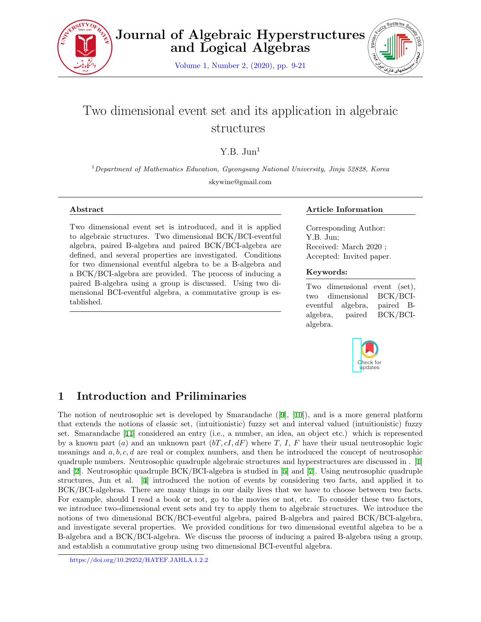

**Journal of Algebraic Hyperstructures and Logical Algebras**

Volume 1, Number 2, (2020), pp. 9-21



# Two dimensional event set and its application in algebraic structures

Y.B.  $\text{Jun}^1$ 

<sup>1</sup>*Department of Mathematics Education, Gyeongsang National University, Jinju 52828, Korea* skywine@gmail.com

#### **Abstract**

Two dimensional event set is introduced, and it is applied to algebraic structures. Two dimensional BCK/BCI-eventful algebra, paired B-algebra and paired BCK/BCI-algebra are defined, and several properties are investigated. Conditions for two dimensional eventful algebra to be a B-algebra and a BCK/BCI-algebra are provided. The process of inducing a paired B-algebra using a group is discussed. Using two dimensional BCI-eventful algebra, a commutative group is established.

### **Article Information**

Corresponding Author: Y.B. Jun; Received: March 2020 ; Accepted: Invited paper.

### **Keywords:**

Two dimensional event (set), two dimensional BCK/BCIeventful algebra, paired Balgebra, paired BCK/BCIalgebra.



# **1 Introduction and Priliminaries**

The notion of neutrosophic set is developed by Smarandache ([\[9](#page-12-0)], [\[10](#page-12-1)]), and is a more general platform that extends the notions of classic set, (intuitionistic) fuzzy set and interval valued (intuitionistic) fuzzy set. Smarandache [[11\]](#page-12-2) considered an entry (i.e., a number, an idea, an object etc.) which is represented by a known part (*a*) and an unknown part (*bT, cI, dF*) where *T, I, F* have their usual neutrosophic logic meanings and *a, b, c, d* are real or complex numbers, and then he introduced the concept of neutrosophic quadruple numbers. Neutrosophic quadruple algebraic structures and hyperstructures are discussed in . [[1\]](#page-11-0) and [[2\]](#page-11-1). Neutrosophic quadruple BCK/BCI-algebra is studied in [[5](#page-11-2)] and [\[7](#page-12-3)]. Using neutrosophic quadruple structures, Jun et al. [[4](#page-11-3)] introduced the notion of events by considering two facts, and applied it to BCK/BCI-algebras. There are many things in our daily lives that we have to choose between two facts. For example, should I read a book or not, go to the movies or not, etc. To consider these two factors, we introduce two-dimensional event sets and try to apply them to algebraic structures. We introduce the notions of two dimensional BCK/BCI-eventful algebra, paired B-algebra and paired BCK/BCI-algebra, and investigate several properties. We provided conditions for two dimensional eventful algebra to be a B-algebra and a BCK/BCI-algebra. We discuss the process of inducing a paired B-algebra using a group, and establish a commutative group using two dimensional BCI-eventful algebra.

https://doi.org/10.29252/HATEF.JAHLA.1.2.2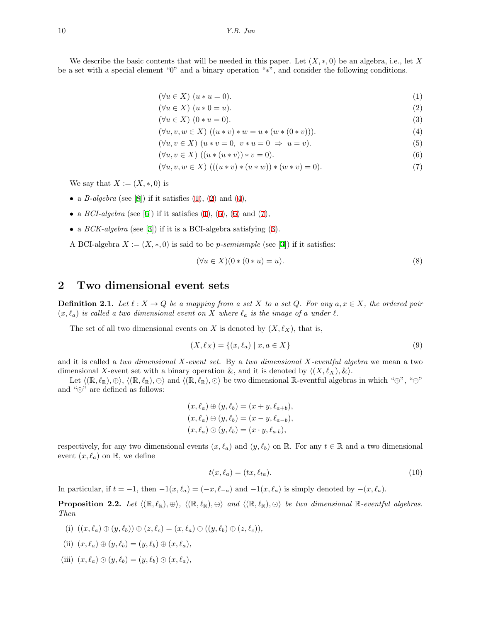We describe the basic contents that will be needed in this paper. Let  $(X, *, 0)$  be an algebra, i.e., let X be a set with a special element "0" and a binary operation "*∗*", and consider the following conditions.

<span id="page-1-1"></span><span id="page-1-0"></span>
$$
(\forall u \in X) (u * u = 0). \tag{1}
$$

<span id="page-1-6"></span>
$$
(\forall u \in X) \ (u * 0 = u). \tag{2}
$$

$$
(\forall u \in X) (0 * u = 0).
$$
\n
$$
(3)
$$

$$
(\forall u, v, w \in X) ((u * v) * w = u * (w * (0 * v))).
$$
  
( $\forall u, v \in X) (u * v = 0, v * u = 0 \Rightarrow u = v).$  (5)

$$
(\forall u, v \in X) (u * v = 0, v * u = 0 \Rightarrow u = v).
$$
  

$$
(\forall u, v \in X) ((u * (u * v)) * v = 0)
$$
  
(6)

<span id="page-1-2"></span>
$$
(\forall u, v \in X) \ ((u * (u * v)) * v = 0). \tag{6}
$$

$$
(\forall u, v, w \in X) \ ((u * v) * (u * w)) * (w * v) = 0).
$$
\n(7)

We say that  $X := (X, \ast, 0)$  is

- a *B*-algebra (see [[8\]](#page-12-4)) if it satisfies  $(1)$  $(1)$ ,  $(2)$  $(2)$  and  $(4)$  $(4)$ ,
- a *BCI-algebra* (see [[6\]](#page-11-4)) if it satisfies  $(1)$  $(1)$ ,  $(5)$  $(5)$ ,  $(6)$  $(6)$  and  $(7)$  $(7)$ ,
- *•* a *BCK-algebra* (see [[3](#page-11-5)]) if it is a BCI-algebra satisfying [\(3](#page-1-6)).
- A BCI-algebra  $X := (X, \ast, 0)$  is said to be *p*-semisimple (see [\[3](#page-11-5)]) if it satisfies:

<span id="page-1-5"></span><span id="page-1-4"></span><span id="page-1-3"></span>
$$
(\forall u \in X)(0*(0*u) = u). \tag{8}
$$

# **2 Two dimensional event sets**

**Definition 2.1.** Let  $\ell: X \to Q$  be a mapping from a set X to a set Q. For any  $a, x \in X$ , the ordered pair  $(x, \ell_a)$  *is called a two dimensional event on X where*  $\ell_a$  *is the image of a under*  $\ell$ *.* 

The set of all two dimensional events on *X* is denoted by  $(X, \ell_X)$ , that is,

$$
(X, \ell_X) = \{(x, \ell_a) \mid x, a \in X\}
$$
\n(9)

and it is called a *two dimensional X-event set.* By a *two dimensional X-eventful algebra* we mean a two dimensional *X*-event set with a binary operation  $\&$ , and it is denoted by  $\langle (X, \ell_X), \& \rangle$ .

Let  $\langle (\mathbb{R}, \ell_{\mathbb{R}}), \oplus \rangle$ ,  $\langle (\mathbb{R}, \ell_{\mathbb{R}}), \ominus \rangle$  and  $\langle (\mathbb{R}, \ell_{\mathbb{R}}), \odot \rangle$  be two dimensional R-eventful algebras in which " $\oplus$ ", " $\ominus$ " and "*⊙*" are defined as follows:

$$
(x, \ell_a) \oplus (y, \ell_b) = (x + y, \ell_{a+b}),(x, \ell_a) \ominus (y, \ell_b) = (x - y, \ell_{a-b}),(x, \ell_a) \odot (y, \ell_b) = (x \cdot y, \ell_{a \cdot b}),
$$

respectively, for any two dimensional events  $(x, \ell_a)$  and  $(y, \ell_b)$  on R. For any  $t \in \mathbb{R}$  and a two dimensional event  $(x, \ell_a)$  on  $\mathbb{R}$ , we define

$$
t(x, \ell_a) = (tx, \ell_{ta}).\tag{10}
$$

In particular, if  $t = -1$ , then  $-1(x, \ell_a) = (-x, \ell_{-a})$  and  $-1(x, \ell_a)$  is simply denoted by  $-(x, \ell_a)$ .

<span id="page-1-7"></span>**Proposition 2.2.** Let  $\langle (\mathbb{R}, \ell_{\mathbb{R}}), \oplus \rangle$ ,  $\langle (\mathbb{R}, \ell_{\mathbb{R}}), \ominus \rangle$  and  $\langle (\mathbb{R}, \ell_{\mathbb{R}}), \odot \rangle$  be two dimensional  $\mathbb{R}$ -eventful algebras. *Then*

(i) 
$$
((x, \ell_a) \oplus (y, \ell_b)) \oplus (z, \ell_c) = (x, \ell_a) \oplus ((y, \ell_b) \oplus (z, \ell_c)),
$$

(ii) 
$$
(x, \ell_a) \oplus (y, \ell_b) = (y, \ell_b) \oplus (x, \ell_a),
$$

(iii)  $(x, \ell_a) \odot (y, \ell_b) = (y, \ell_b) \odot (x, \ell_a)$ ,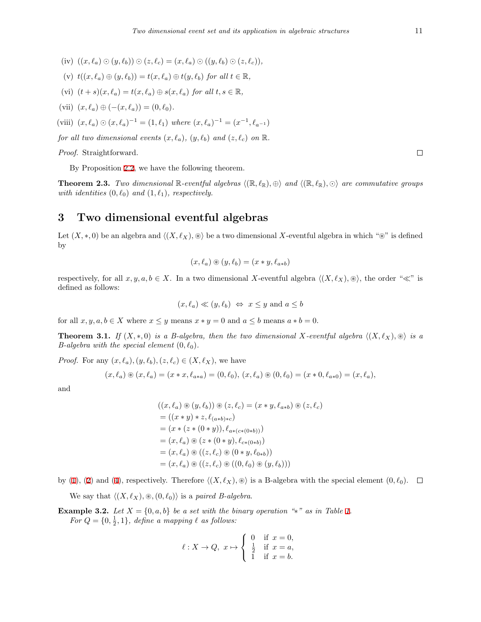- (iv)  $((x, \ell_a) \odot (y, \ell_b)) \odot (z, \ell_c) = (x, \ell_a) \odot ((y, \ell_b) \odot (z, \ell_c)),$
- $(v)$   $t((x, \ell_a) \oplus (y, \ell_b)) = t(x, \ell_a) \oplus t(y, \ell_b)$  for all  $t \in \mathbb{R}$ ,
- (vi)  $(t + s)(x, \ell_a) = t(x, \ell_a) \oplus s(x, \ell_a)$  *for all*  $t, s \in \mathbb{R}$ ,
- $(vii)$   $(x, \ell_a) \oplus (- (x, \ell_a)) = (0, \ell_0).$
- (viii)  $(x, \ell_a) \odot (x, \ell_a)^{-1} = (1, \ell_1)$  *where*  $(x, \ell_a)^{-1} = (x^{-1}, \ell_{a^{-1}})$
- *for all two dimensional events*  $(x, \ell_a), (y, \ell_b)$  *and*  $(z, \ell_c)$  *on* R.

*Proof.* Straightforward.

By Proposition [2.2,](#page-1-7) we have the following theorem.

**Theorem 2.3.** *Two dimensional*  $\mathbb{R}$ -eventful algebras  $\langle (\mathbb{R}, \ell_{\mathbb{R}}), \oplus \rangle$  and  $\langle (\mathbb{R}, \ell_{\mathbb{R}}), \odot \rangle$  are commutative groups *with identities*  $(0, \ell_0)$  *and*  $(1, \ell_1)$ *, respectively.* 

## **3 Two dimensional eventful algebras**

Let  $(X, * , 0)$  be an algebra and  $\langle (X, \ell_X), \otimes \rangle$  be a two dimensional X-eventful algebra in which "⊛" is defined by

$$
(x,\ell_a)\circledast(y,\ell_b)=(x*y,\ell_{a*b})
$$

respectively, for all  $x, y, a, b \in X$ . In a two dimensional *X*-eventful algebra  $\langle (X, \ell_X), \otimes \rangle$ , the order " $\ll$ " is defined as follows:

$$
(x, \ell_a) \ll (y, \ell_b) \iff x \leq y
$$
 and  $a \leq b$ 

for all  $x, y, a, b \in X$  where  $x \leq y$  means  $x * y = 0$  and  $a \leq b$  means  $a * b = 0$ .

**Theorem 3.1.** *If*  $(X, *, 0)$  *is a B-algebra, then the two dimensional*  $X$ -eventful algebra  $\langle (X, \ell_X), \otimes \rangle$  *is a B-algebra with the special element*  $(0, \ell_0)$ *.* 

*Proof.* For any  $(x, \ell_a), (y, \ell_b), (z, \ell_c) \in (X, \ell_X)$ , we have

$$
(x,\ell_a) \circledast (x,\ell_a) = (x * x, \ell_{a * a}) = (0,\ell_0), (x,\ell_a) \circledast (0,\ell_0) = (x * 0, \ell_{a * 0}) = (x,\ell_a),
$$

and

$$
((x, \ell_a) \circledast (y, \ell_b)) \circledast (z, \ell_c) = (x * y, \ell_{a * b}) \circledast (z, \ell_c)
$$
  
= ((x \* y) \* z, \ell\_{(a \* b) \* c})  
= (x \* (z \* (0 \* y)), \ell\_{a \* (c \* (0 \* b))})  
= (x, \ell\_a) \circledast (z \* (0 \* y), \ell\_{c \* (0 \* b)})  
= (x, \ell\_a) \circledast ((z, \ell\_c) \circledast (0 \* y, \ell\_{0 \* b}))  
= (x, \ell\_a) \circledast ((z, \ell\_c) \circledast ((0, \ell\_0) \circledast (y, \ell\_b)))

by ([1\)](#page-1-0), [\(2](#page-1-1)) and ([4\)](#page-1-2), respectively. Therefore  $\langle (X, \ell_X), \otimes \rangle$  is a B-algebra with the special element  $(0, \ell_0)$ .  $\Box$ 

We say that  $\langle (X, \ell_X), \otimes, (0, \ell_0) \rangle$  is a *paired B-algebra*.

<span id="page-2-0"></span>**Example 3.2.** *Let*  $X = \{0, a, b\}$  *be a set with the binary operation "\*" as in Table [1](#page-3-0). For*  $Q = \{0, \frac{1}{2}, 1\}$ *, define a mapping*  $\ell$  *as follows:* 

$$
\ell:X\to Q,\ x\mapsto \left\{\begin{array}{ll} 0 & \text{if }x=0,\\ \frac{1}{2} & \text{if }x=a,\\ 1 & \text{if }x=b.\end{array}\right.
$$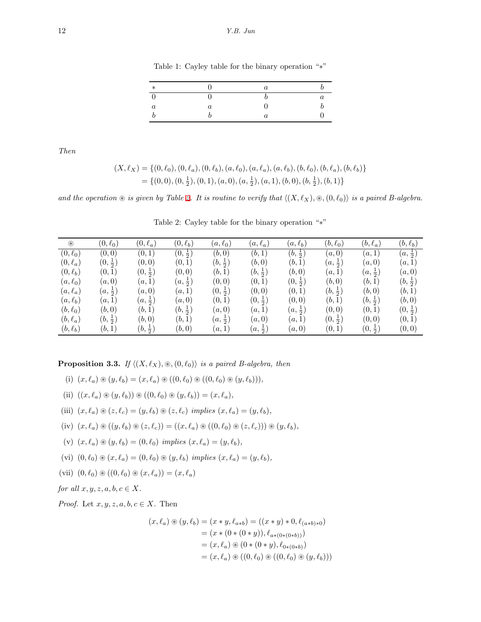<span id="page-3-0"></span>Table 1: Cayley table for the binary operation "*∗*"

| $\ast$ |  |  |
|--------|--|--|
|        |  |  |
|        |  |  |
|        |  |  |

*Then*

$$
(X, \ell_X) = \{ (0, \ell_0), (0, \ell_a), (0, \ell_b), (a, \ell_0), (a, \ell_a), (a, \ell_b), (b, \ell_0), (b, \ell_a), (b, \ell_b) \}
$$
  
=  $\{ (0, 0), (0, \frac{1}{2}), (0, 1), (a, 0), (a, \frac{1}{2}), (a, 1), (b, 0), (b, \frac{1}{2}), (b, 1) \}$ 

*and the operation*  $\circledast$  *is given by Table [2.](#page-3-1) It is routine to verify that*  $\langle (X, \ell_X), \circledast, (0, \ell_0) \rangle$  *is a paired B-algebra.* 

| $^{\circledR}$ | $(0,\ell_0)$       | $(0,\ell_a)$      | $(0, \ell_b)$      | $(a,\ell_0)$       | $(a,\ell_a)$       | $(a,\ell_b)$       | $(b,\ell_0)$       | $(b,\ell_a)$       | $(b, \ell_b)$      |
|----------------|--------------------|-------------------|--------------------|--------------------|--------------------|--------------------|--------------------|--------------------|--------------------|
| $(0,\ell_0)$   | (0,0)              | (0,1)             | $(0, \frac{1}{2})$ | (b,0)              | (b,1)              | $(b, \frac{1}{2})$ | (a,0)              | (a,1)              | $(a,\frac{1}{2})$  |
| $(0,\ell_a)$   | $(0, \frac{1}{2})$ | (0,0)             | (0,1)              | $(b, \frac{1}{2})$ | (b,0)              | (b,1)              | $(a, \frac{1}{2})$ | (a,0)              | (a,1)              |
| $(0,\ell_b)$   | (0,1)              | $(0,\frac{1}{2})$ | (0, 0)             | (b,1)              | $(b, \frac{1}{2})$ | (b,0)              | (a,1)              | $(a, \frac{1}{2})$ | (a,0)              |
| $(a,\ell_0)$   | (a,0)              | (a,1)             | $(a,\frac{1}{2})$  | (0,0)              | (0,1)              | $(0, \frac{1}{2})$ | (b, 0)             | (b, 1)             | $(b, \frac{1}{2})$ |
| $(a, \ell_a)$  | $(a,\frac{1}{2})$  | (a,0)             | (a,1)              | $(0, \frac{1}{2})$ | (0, 0)             | (0,1)              | $(b, \frac{1}{2})$ | (b,0)              | (b,1)              |
| $(a, \ell_b)$  | (a,1)              | $(a,\frac{1}{2})$ | (a,0)              | (0,1)              | $(0, \frac{1}{2})$ | (0, 0)             | (b, 1)             | $(b, \frac{1}{2})$ | (b, 0)             |
| $(b, \ell_0)$  | (b,0)              | (b,1)             | $(b, \frac{1}{2})$ | (a,0)              | (a,1)              | $(a,\frac{1}{2})$  | (0, 0)             | (0,1)              | $(0, \frac{1}{2})$ |
| $(b, \ell_a)$  | $(b, \frac{1}{2})$ | (b,0)             | (b, 1)             | $(a,\frac{1}{2})$  | (a,0)              | (a,1)              | $(0, \frac{1}{2})$ | (0, 0)             | (0,1)              |
| $(b, \ell_b)$  | (b,1)              | $(b,\frac{1}{2})$ | (b,0)              | (a,1)              | $(a,\frac{1}{2})$  | (a,0)              | (0,1)              | $(0, \frac{1}{2})$ | (0,0)              |

<span id="page-3-1"></span>Table 2: Cayley table for the binary operation "*∗*"

<span id="page-3-2"></span>**Proposition 3.3.** *If*  $\langle (X, \ell_X), \otimes, (0, \ell_0) \rangle$  *is a paired B-algebra, then* 

(i) 
$$
(x, \ell_a) \circledast (y, \ell_b) = (x, \ell_a) \circledast ((0, \ell_0) \circledast ((0, \ell_0) \circledast (y, \ell_b))),
$$

- (ii)  $((x, \ell_a) \otimes (y, \ell_b)) \otimes ((0, \ell_0) \otimes (y, \ell_b)) = (x, \ell_a),$
- (iii)  $(x, \ell_a) \circledast (z, \ell_c) = (y, \ell_b) \circledast (z, \ell_c)$  *implies*  $(x, \ell_a) = (y, \ell_b)$ ,
- (iv)  $(x, \ell_a) \otimes ((y, \ell_b) \otimes (z, \ell_c)) = ((x, \ell_a) \otimes ((0, \ell_0) \otimes (z, \ell_c))) \otimes (y, \ell_b),$
- $(v)$   $(x, \ell_a) \circledast (y, \ell_b) = (0, \ell_0)$  *implies*  $(x, \ell_a) = (y, \ell_b)$ ,
- (vi)  $(0, \ell_0) \otimes (x, \ell_a) = (0, \ell_0) \otimes (y, \ell_b)$  *implies*  $(x, \ell_a) = (y, \ell_b)$ ,
- (vii)  $(0, \ell_0) \otimes ((0, \ell_0) \otimes (x, \ell_a)) = (x, \ell_a)$

*for all*  $x, y, z, a, b, c \in X$ .

*Proof.* Let  $x, y, z, a, b, c \in X$ . Then

$$
(x, \ell_a) \circledast (y, \ell_b) = (x * y, \ell_{a * b}) = ((x * y) * 0, \ell_{(a * b) * 0})
$$
  
= (x \* (0 \* (0 \* y)), \ell\_{a \* (0 \* (0 \* b))})  
= (x, \ell\_a) \circledast (0 \* (0 \* y), \ell\_{0 \* (0 \* b)})  
= (x, \ell\_a) \circledast ((0, \ell\_0) \circledast ((0, \ell\_0) \circledast (y, \ell\_b)))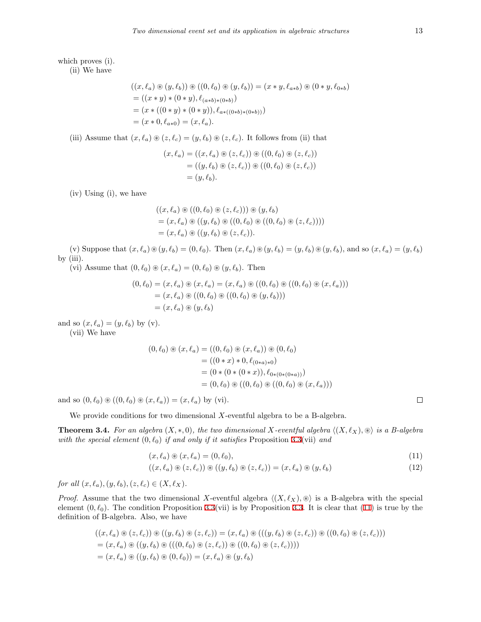which proves (i).

(ii) We have

$$
((x, \ell_a) \circledast (y, \ell_b)) \circledast ((0, \ell_0) \circledast (y, \ell_b)) = (x * y, \ell_{a * b}) \circledast (0 * y, \ell_{0 * b})
$$
  
= ((x \* y) \* (0 \* y), \ell\_{(a \* b)\*(0 \* b)})  
= (x \* ((0 \* y) \* (0 \* y)), \ell\_{a \* ((0 \* b)\*(0 \* b))})  
= (x \* 0, \ell\_{a \* 0}) = (x, \ell\_a).

(iii) Assume that  $(x, \ell_a) \otimes (z, \ell_c) = (y, \ell_b) \otimes (z, \ell_c)$ . It follows from (ii) that

$$
(x, \ell_a) = ((x, \ell_a) \circledast (z, \ell_c)) \circledast ((0, \ell_0) \circledast (z, \ell_c))
$$
  
= ((y, \ell\_b) \circledast (z, \ell\_c)) \circledast ((0, \ell\_0) \circledast (z, \ell\_c))  
= (y, \ell\_b).

(iv) Using (i), we have

$$
((x, \ell_a) \circledast ((0, \ell_0) \circledast (z, \ell_c))) \circledast (y, \ell_b)
$$
  
=  $(x, \ell_a) \circledast ((y, \ell_b) \circledast ((0, \ell_0) \circledast ((0, \ell_0) \circledast (z, \ell_c))))$   
=  $(x, \ell_a) \circledast ((y, \ell_b) \circledast (z, \ell_c)).$ 

(v) Suppose that  $(x,\ell_a)\otimes(y,\ell_b)=(0,\ell_0)$ . Then  $(x,\ell_a)\otimes(y,\ell_b)=(y,\ell_b)\otimes(y,\ell_b)$ , and so  $(x,\ell_a)=(y,\ell_b)$ by  $(iii)$ .

(vi) Assume that  $(0, \ell_0) \otimes (x, \ell_a) = (0, \ell_0) \otimes (y, \ell_b)$ . Then

$$
(0, \ell_0) = (x, \ell_a) \circledast (x, \ell_a) = (x, \ell_a) \circledast ((0, \ell_0) \circledast ((0, \ell_0) \circledast (x, \ell_a)))
$$
  
=  $(x, \ell_a) \circledast ((0, \ell_0) \circledast ((0, \ell_0) \circledast (y, \ell_b)))$   
=  $(x, \ell_a) \circledast (y, \ell_b)$ 

and so  $(x, \ell_a) = (y, \ell_b)$  by (v).

(vii) We have

$$
(0, \ell_0) \circledast (x, \ell_a) = ((0, \ell_0) \circledast (x, \ell_a)) \circledast (0, \ell_0)
$$
  
= ((0 \* x) \* 0, \ell\_{(0 \* a) \* 0})  
= (0 \* (0 \* (0 \* x)), \ell\_{0 \* (0 \* (0 \* a))})  
= (0, \ell\_0) \circledast ((0, \ell\_0) \circledast ((0, \ell\_0) \circledast (x, \ell\_a)))

and so  $(0, \ell_0) \otimes ((0, \ell_0) \otimes (x, \ell_a)) = (x, \ell_a)$  by (vi).

We provide conditions for two dimensional *X*-eventful algebra to be a B-algebra.

<span id="page-4-2"></span>**Theorem 3.4.** For an algebra  $(X, *, 0)$ , the two dimensional  $X$ -eventful algebra  $\langle (X, \ell_X), \otimes \rangle$  is a B-algebra *with the special element* (0*, ℓ*0) *if and only if it satisfies* Proposition [3.3\(](#page-3-2)vii) *and*

<span id="page-4-0"></span>
$$
(x,\ell_a) \circledast (x,\ell_a) = (0,\ell_0),\tag{11}
$$

<span id="page-4-1"></span>
$$
((x,\ell_a) \circledast (z,\ell_c)) \circledast ((y,\ell_b) \circledast (z,\ell_c)) = (x,\ell_a) \circledast (y,\ell_b)
$$
\n
$$
(12)
$$

*for all*  $(x, \ell_a), (y, \ell_b), (z, \ell_c) \in (X, \ell_X)$ .

*Proof.* Assume that the two dimensional *X*-eventful algebra  $\langle (X, \ell_X), \otimes \rangle$  is a B-algebra with the special element  $(0, \ell_0)$ . The condition Proposition [3.3\(](#page-3-2)vii) is by Proposition [3.3.](#page-3-2) It is clear that ([11\)](#page-4-0) is true by the definition of B-algebra. Also, we have

$$
((x, \ell_a) \circledast (z, \ell_c)) \circledast ((y, \ell_b) \circledast (z, \ell_c)) = (x, \ell_a) \circledast (((y, \ell_b) \circledast (z, \ell_c)) \circledast ((0, \ell_0) \circledast (z, \ell_c)))
$$
  
=  $(x, \ell_a) \circledast ((y, \ell_b) \circledast (((0, \ell_0) \circledast (z, \ell_c)) \circledast ((0, \ell_0) \circledast (z, \ell_c))))$   
=  $(x, \ell_a) \circledast ((y, \ell_b) \circledast (0, \ell_0)) = (x, \ell_a) \circledast (y, \ell_b)$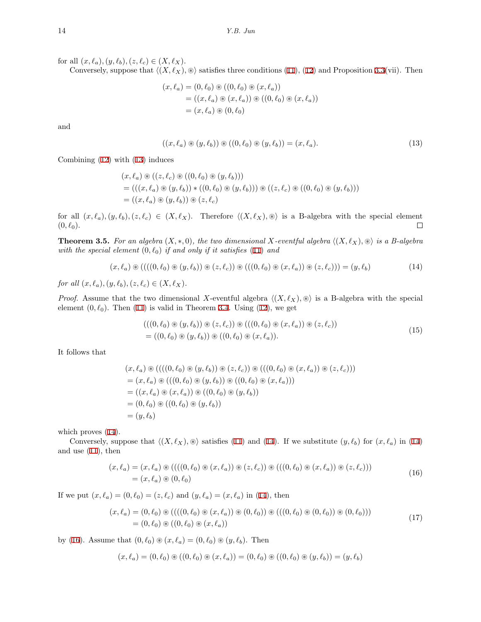for all  $(x, \ell_a), (y, \ell_b), (z, \ell_c) \in (X, \ell_X)$ .

Conversely, suppose that  $\langle (X, \ell_X), \otimes \rangle$  satisfies three conditions ([11\)](#page-4-0), ([12\)](#page-4-1) and Proposition [3.3](#page-3-2)(vii). Then

$$
(x, \ell_a) = (0, \ell_0) \circledast ((0, \ell_0) \circledast (x, \ell_a))
$$
  
= ((x, \ell\_a) \circledast (x, \ell\_a)) \circledast ((0, \ell\_0) \circledast (x, \ell\_a))  
= (x, \ell\_a) \circledast (0, \ell\_0)

and

<span id="page-5-0"></span>
$$
((x,\ell_a) \circledast (y,\ell_b)) \circledast ((0,\ell_0) \circledast (y,\ell_b)) = (x,\ell_a). \tag{13}
$$

Combining [\(12](#page-4-1)) with [\(13](#page-5-0)) induces

$$
(x, \ell_a) \circledast ((z, \ell_c) \circledast ((0, \ell_0) \circledast (y, \ell_b)))
$$
  
= 
$$
(((x, \ell_a) \circledast (y, \ell_b)) * ((0, \ell_0) \circledast (y, \ell_b))) \circledast ((z, \ell_c) \circledast ((0, \ell_0) \circledast (y, \ell_b)))
$$
  
= 
$$
((x, \ell_a) \circledast (y, \ell_b)) \circledast (z, \ell_c)
$$

for all  $(x, \ell_a), (y, \ell_b), (z, \ell_c) \in (X, \ell_X)$ . Therefore  $\langle (X, \ell_X), \otimes \rangle$  is a B-algebra with the special element  $(0, \ell_0)$ .  $\Box$ 

**Theorem 3.5.** For an algebra  $(X, *, 0)$ , the two dimensional  $X$ -eventful algebra  $\langle (X, \ell_X), \otimes \rangle$  is a B-algebra *with the special element*  $(0, \ell_0)$  *if and only if it satisfies* [\(11](#page-4-0)) *and* 

$$
(x,\ell_a) \circledast (((0,\ell_0) \circledast (y,\ell_b)) \circledast (z,\ell_c)) \circledast (((0,\ell_0) \circledast (x,\ell_a)) \circledast (z,\ell_c))) = (y,\ell_b) \tag{14}
$$

*for all*  $(x, \ell_a), (y, \ell_b), (z, \ell_c) \in (X, \ell_X)$ .

*Proof.* Assume that the two dimensional *X*-eventful algebra  $\langle (X, \ell_X), \otimes \rangle$  is a B-algebra with the special element  $(0, \ell_0)$ . Then  $(11)$  $(11)$  is valid in Theorem [3.4](#page-4-2). Using  $(12)$  $(12)$ , we get

<span id="page-5-1"></span>
$$
(((0,\ell_0) \circledast (y,\ell_b)) \circledast (z,\ell_c)) \circledast (((0,\ell_0) \circledast (x,\ell_a)) \circledast (z,\ell_c))
$$
  
= ((0,\ell\_0) \circledast (y,\ell\_b)) \circledast ((0,\ell\_0) \circledast (x,\ell\_a)). (15)

It follows that

$$
(x, \ell_a) \circledast (((0, \ell_0) \circledast (y, \ell_b)) \circledast (z, \ell_c)) \circledast (((0, \ell_0) \circledast (x, \ell_a)) \circledast (z, \ell_c)))
$$
  
=  $(x, \ell_a) \circledast (((0, \ell_0) \circledast (y, \ell_b)) \circledast ((0, \ell_0) \circledast (x, \ell_a)))$   
=  $((x, \ell_a) \circledast (x, \ell_a)) \circledast ((0, \ell_0) \circledast (y, \ell_b))$   
=  $(0, \ell_0) \circledast ((0, \ell_0) \circledast (y, \ell_b))$   
=  $(y, \ell_b)$ 

which proves  $(14)$  $(14)$ .

Conversely, suppose that  $\langle (X, \ell_X), \otimes \rangle$  satisfies ([11\)](#page-4-0) and [\(14](#page-5-1)). If we substitute  $(y, \ell_b)$  for  $(x, \ell_a)$  in (14) and use [\(11](#page-4-0)), then

<span id="page-5-2"></span>
$$
(x, \ell_a) = (x, \ell_a) \circledast (((0, \ell_0) \circledast (x, \ell_a)) \circledast (z, \ell_c)) \circledast (((0, \ell_0) \circledast (x, \ell_a)) \circledast (z, \ell_c)))
$$
  
= (x, \ell\_a) \circledast (0, \ell\_0) (16)

If we put  $(x, \ell_a) = (0, \ell_0) = (z, \ell_c)$  and  $(y, \ell_a) = (x, \ell_a)$  in [\(14](#page-5-1)), then

<span id="page-5-3"></span>
$$
(x,\ell_a) = (0,\ell_0) \circledast (((0,\ell_0) \circledast (x,\ell_a)) \circledast (0,\ell_0)) \circledast (((0,\ell_0) \circledast (0,\ell_0)) \circledast (0,\ell_0)))
$$
  
= (0,\ell\_0) \circledast ((0,\ell\_0) \circledast (x,\ell\_a)) (17)

by ([16\)](#page-5-2). Assume that  $(0, \ell_0) \otimes (x, \ell_a) = (0, \ell_0) \otimes (y, \ell_b)$ . Then

$$
(x,\ell_a)=(0,\ell_0)\circledast ((0,\ell_0)\circledast (x,\ell_a))=(0,\ell_0)\circledast ((0,\ell_0)\circledast (y,\ell_b))=(y,\ell_b)
$$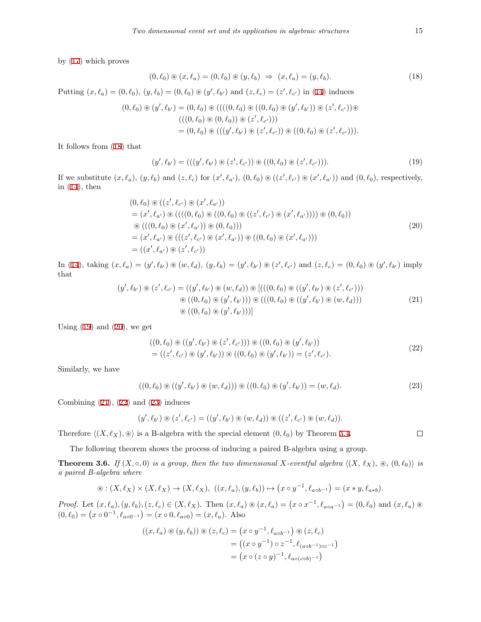by ([17\)](#page-5-3) which proves

<span id="page-6-0"></span>
$$
(0, \ell_0) \circledast (x, \ell_a) = (0, \ell_0) \circledast (y, \ell_b) \Rightarrow (x, \ell_a) = (y, \ell_b). \tag{18}
$$

Putting  $(x, \ell_a) = (0, \ell_0), (y, \ell_b) = (0, \ell_0) \circledast (y', \ell_{b'})$  and  $(z, \ell_c) = (z', \ell_{c'})$  in [\(14](#page-5-1)) induces

$$
(0,\ell_0) \circledast (y',\ell_{b'}) = (0,\ell_0) \circledast (((0,\ell_0) \circledast ((0,\ell_0) \circledast (y',\ell_{b'})) \circledast (z',\ell_{c'})) \circledast
$$
  

$$
(((0,\ell_0) \circledast (0,\ell_0)) \circledast (z',\ell_{c'})))
$$
  

$$
= (0,\ell_0) \circledast (((y',\ell_{b'}) \circledast (z',\ell_{c'})) \circledast ((0,\ell_0) \circledast (z',\ell_{c'}))).
$$

It follows from ([18\)](#page-6-0) that

<span id="page-6-1"></span>
$$
(y', \ell_{b'}) = (((y', \ell_{b'}) \circledast (z', \ell_{c'})) \circledast ((0, \ell_0) \circledast (z', \ell_{c'}))).
$$
\n(19)

If we substitute  $(x,\ell_a)$ ,  $(y,\ell_b)$  and  $(z,\ell_c)$  for  $(x',\ell_{a'}), (0,\ell_0) \otimes ((z',\ell_{c'}) \otimes (x',\ell_{a'}))$  and  $(0,\ell_0)$ , respectively, in  $(14)$  $(14)$ , then

<span id="page-6-2"></span>
$$
(0, \ell_0) \circledast ((z', \ell_{c'}) \circledast (x', \ell_{a'}))
$$
  
=  $(x', \ell_{a'}) \circledast (((0, \ell_0) \circledast ((0, \ell_0) \circledast ((z', \ell_{c'}) \circledast (x', \ell_{a'})))) \circledast (0, \ell_0))$   
 $\circledast (((0, \ell_0) \circledast (x', \ell_{a'})) \circledast (0, \ell_0)))$   
=  $(x', \ell_{a'}) \circledast (((z', \ell_{c'}) \circledast (x', \ell_{a'})) \circledast ((0, \ell_0) \circledast (x', \ell_{a'})))$   
=  $((x', \ell_{a'}) \circledast (z', \ell_{c'}))$  (20)

<span id="page-6-3"></span>In [\(14](#page-5-1)), taking  $(x, \ell_a) = (y', \ell_{b'}) \circledast (w, \ell_d), (y, \ell_b) = (y', \ell_{b'}) \circledast (z', \ell_{c'})$  and  $(z, \ell_c) = (0, \ell_0) \circledast (y', \ell_{b'})$  imply that

$$
(y', \ell_{b'}) \circledast (z', \ell_{c'}) = ((y', \ell_{b'}) \circledast (w, \ell_d)) \circledast [(((0, \ell_0) \circledast ((y', \ell_{b'}) \circledast (z', \ell_{c'})))
$$
  

$$
\circledast ((0, \ell_0) \circledast (y', \ell_{b'}))) \circledast (((0, \ell_0) \circledast ((y', \ell_{b'}) \circledast (w, \ell_d)))
$$
  

$$
\circledast ((0, \ell_0) \circledast (y', \ell_{b'})))]
$$
\n(21)

Using  $(19)$  $(19)$  and  $(20)$  $(20)$ , we get

<span id="page-6-4"></span>
$$
((0,\ell_0) \circledast ((y',\ell_{b'}) \circledast (z',\ell_{c'}))) \circledast ((0,\ell_0) \circledast (y',\ell_{b'}))
$$
  
= ((z',\ell\_{c'}) \circledast (y',\ell\_{b'})) \circledast ((0,\ell\_0) \circledast (y',\ell\_{b'})) = (z',\ell\_{c'}). (22)

Similarly, we have

<span id="page-6-5"></span>
$$
((0,\ell_0) \circledast ((y',\ell_{b'}) \circledast (w,\ell_d))) \circledast ((0,\ell_0) \circledast (y',\ell_{b'})) = (w,\ell_d).
$$
 (23)

Combining  $(21)$  $(21)$ ,  $(22)$  $(22)$  and  $(23)$  $(23)$  induces

$$
(y', \ell_{b'}) \circledast (z', \ell_{c'}) = ((y', \ell_{b'}) \circledast (w, \ell_d)) \circledast ((z', \ell_{c'}) \circledast (w, \ell_d)).
$$

Therefore  $\langle (X, \ell_X), \otimes \rangle$  is a B-algebra with the special element  $(0, \ell_0)$  by Theorem [3.4.](#page-4-2)

The following theorem shows the process of inducing a paired B-algebra using a group.

**Theorem 3.6.** *If*  $(X, \circ, 0)$  *is a group, then the two dimensional*  $X$ *-eventful algebra*  $\langle (X, \ell_X), \otimes, (0, \ell_0) \rangle$  *is a paired B-algebra where*

$$
\circledast: (X,\ell_X) \times (X,\ell_X) \rightarrow (X,\ell_X), \ ((x,\ell_a),(y,\ell_b)) \mapsto \left(x \circ y^{-1}, \ell_{a \circ b^{-1}}\right) = (x \ast y, \ell_{a \ast b}).
$$

*Proof.* Let  $(x, \ell_a), (y, \ell_b), (z, \ell_c) \in (X, \ell_X)$ . Then  $(x, \ell_a) \circledast (x, \ell_a) = (x \circ x^{-1}, \ell_{a \circ a^{-1}}) = (0, \ell_0)$  and  $(x, \ell_a) \circledast$  $(0, \ell_0) = (x \circ 0^{-1}, \ell_{a \circ 0^{-1}}) = (x \circ 0, \ell_{a \circ 0}) = (x, \ell_a)$ . Also

$$
((x, \ell_a) \circledast (y, \ell_b)) \circledast (z, \ell_c) = (x \circ y^{-1}, \ell_{a \circ b^{-1}}) \circledast (z, \ell_c)
$$
  
= ((x \circ y^{-1}) \circ z^{-1}, \ell\_{(a \circ b^{-1}) \circ c^{-1}})  
= (x \circ (z \circ y)^{-1}, \ell\_{a \circ (c \circ b)^{-1}})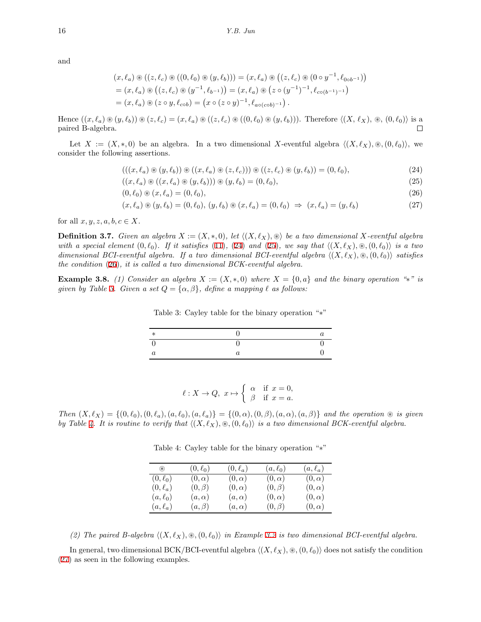and

$$
(x, \ell_a) \circledast ((z, \ell_c) \circledast ((0, \ell_0) \circledast (y, \ell_b))) = (x, \ell_a) \circledast ((z, \ell_c) \circledast (0 \circ y^{-1}, \ell_{0 \circ b^{-1}}))
$$
  
=  $(x, \ell_a) \circledast ((z, \ell_c) \circledast (y^{-1}, \ell_{b^{-1}})) = (x, \ell_a) \circledast (z \circ (y^{-1})^{-1}, \ell_{c \circ (b^{-1})^{-1}})$   
=  $(x, \ell_a) \circledast (z \circ y, \ell_{c \circ b}) = (x \circ (z \circ y)^{-1}, \ell_{a \circ (c \circ b)^{-1}}).$ 

Hence  $((x,\ell_a)\otimes (y,\ell_b))\otimes (z,\ell_c)=(x,\ell_a)\otimes ((z,\ell_c)\otimes ((0,\ell_0)\otimes (y,\ell_b))).$  Therefore  $\langle (X,\ell_X),\otimes, (0,\ell_0)\rangle$  is a paired B-algebra.  $\Box$ 

Let  $X := (X, *0)$  be an algebra. In a two dimensional X-eventful algebra  $\langle (X, \ell_X), \otimes, (0, \ell_0) \rangle$ , we consider the following assertions.

<span id="page-7-1"></span><span id="page-7-0"></span>
$$
(((x,\ell_a) \circledast (y,\ell_b)) \circledast ((x,\ell_a) \circledast (z,\ell_c))) \circledast ((z,\ell_c) \circledast (y,\ell_b)) = (0,\ell_0),
$$
\n(24)

$$
((x,\ell_a) \circledast ((x,\ell_a) \circledast (y,\ell_b))) \circledast (y,\ell_b) = (0,\ell_0),\tag{25}
$$

$$
(0, \ell_0) \circledast (x, \ell_a) = (0, \ell_0), \tag{26}
$$

$$
(x, \ell_a) \circledast (y, \ell_b) = (0, \ell_0), (y, \ell_b) \circledast (x, \ell_a) = (0, \ell_0) \Rightarrow (x, \ell_a) = (y, \ell_b)
$$
\n
$$
(27)
$$

for all  $x, y, z, a, b, c \in X$ .

**Definition 3.7.** *Given an algebra*  $X := (X, *, 0)$ *, let*  $\langle (X, \ell_X), \circledast \rangle$  *be a two dimensional*  $X$ *-eventful algebra with a special element*  $(0, \ell_0)$ *. If it satisfies* [\(11](#page-4-0))*,* [\(24](#page-7-0)) *and* [\(25](#page-7-1))*, we say that*  $\langle (X, \ell_X), \mathcal{B}, (0, \ell_0) \rangle$  *is a two dimensional BCI-eventful algebra. If a two dimensional BCI-eventful algebra ⟨*(*X, ℓX*)*,* ⊛*,*(0*, ℓ*0)*⟩ satisfies the condition* [\(26](#page-7-2))*, it is called a two dimensional BCK-eventful algebra.*

**Example 3.8.** (1) Consider an algebra  $X := (X, *, 0)$  where  $X = \{0, a\}$  and the binary operation "\*" is *given by Table [3](#page-7-3). Given a set*  $Q = {\alpha, \beta}$ *, define a mapping*  $\ell$  *as follows:* 

<span id="page-7-5"></span><span id="page-7-3"></span><span id="page-7-2"></span>Table 3: Cayley table for the binary operation "*∗*"

| ⋇ |  |
|---|--|
|   |  |
|   |  |

$$
\ell: X \to Q, \ x \mapsto \begin{cases} \alpha & \text{if } x = 0, \\ \beta & \text{if } x = a. \end{cases}
$$

Then  $(X, \ell_X) = \{(0, \ell_0), (0, \ell_a), (a, \ell_0), (a, \ell_a)\} = \{(0, \alpha), (0, \beta), (a, \alpha), (a, \beta)\}$  and the operation  $\circledast$  is given *by Table [4.](#page-7-4) It is routine to verify that*  $\langle (X, \ell_X), \otimes, (0, \ell_0) \rangle$  *is a two dimensional BCK-eventful algebra.* 

| $\circledast$ | $(0,\ell_0)$ | $(0,\ell_a)$ | $(a,\ell_0)$ | $(a, \ell_a)$ |
|---------------|--------------|--------------|--------------|---------------|
| $(0,\ell_0)$  | $(0,\alpha)$ | $(0,\alpha)$ | $(0,\alpha)$ | $(0,\alpha)$  |
| $(0,\ell_a)$  | $(0,\beta)$  | $(0,\alpha)$ | $(0,\beta)$  | $(0,\alpha)$  |
| $(a,\ell_0)$  | $(a,\alpha)$ | $(a,\alpha)$ | $(0,\alpha)$ | $(0,\alpha)$  |
| $(a, \ell_a)$ | $(a, \beta)$ | $(a,\alpha)$ | $(0,\beta)$  | $(0,\alpha)$  |

<span id="page-7-4"></span>Table 4: Cayley table for the binary operation "*∗*"

*(2) The paired B-algebra*  $\langle (X, \ell_X), \otimes, (0, \ell_0) \rangle$  *in Example [3.2](#page-2-0) is two dimensional BCI-eventful algebra.* 

<span id="page-7-6"></span>In general, two dimensional BCK/BCI-eventful algebra  $\langle (X, \ell_X), \otimes, (0, \ell_0) \rangle$  does not satisfy the condition ([27\)](#page-7-5) as seen in the following examples.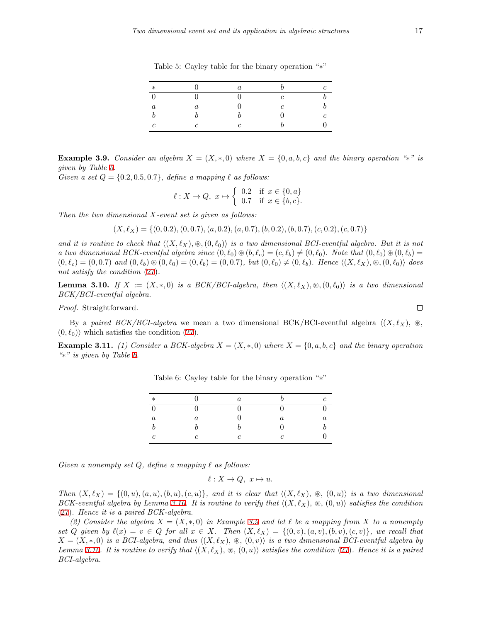| $\ast$   |         | $\it a$ |   |   |
|----------|---------|---------|---|---|
| 0        |         |         | c |   |
| $\it{a}$ | $\it a$ |         | c |   |
|          |         |         |   | c |
| C        | C       | с       |   |   |

<span id="page-8-0"></span>Table 5: Cayley table for the binary operation "*∗*"

**Example 3.9.** Consider an algebra  $X = (X, *, 0)$  where  $X = \{0, a, b, c\}$  and the binary operation "\*" is *given by Table [5](#page-8-0).*

*Given a set*  $Q = \{0.2, 0.5, 0.7\}$ *, define a mapping*  $\ell$  *as follows:* 

$$
\ell: X \to Q, \ x \mapsto \left\{ \begin{array}{ll} 0.2 & \text{if } x \in \{0, a\} \\ 0.7 & \text{if } x \in \{b, c\}. \end{array} \right.
$$

*Then the two dimensional X-event set is given as follows:*

$$
(X, \ell_X) = \{(0, 0.2), (0, 0.7), (a, 0.2), (a, 0.7), (b, 0.2), (b, 0.7), (c, 0.2), (c, 0.7)\}
$$

*and it is routine to check that*  $\langle (X, \ell_X), \otimes, (0, \ell_0) \rangle$  *is a two dimensional BCI-eventful algebra. But it is not a two dimensional BCK-eventful algebra since*  $(0, \ell_0) \otimes (b, \ell_c) = (c, \ell_b) \neq (0, \ell_0)$ *. Note that*  $(0, \ell_0) \otimes (0, \ell_b) =$  $(0, \ell_c) = (0, 0.7)$  and  $(0, \ell_b) \circledast (0, \ell_0) = (0, \ell_b) = (0, 0.7)$ , but  $(0, \ell_0) \neq (0, \ell_b)$ . Hence  $\langle (X, \ell_X), \otimes, (0, \ell_0) \rangle$  does *not satisfy the condition* [\(27](#page-7-5))*.*

<span id="page-8-2"></span>**Lemma 3.10.** *If*  $X := (X, *, 0)$  *is a BCK/BCI-algebra, then*  $\langle (X, \ell_X), \mathcal{B}, (0, \ell_0) \rangle$  *is a two dimensional BCK/BCI-eventful algebra.*

*Proof.* Straightforward.

By a *paired BCK/BCI-algebra* we mean a two dimensional BCK/BCI-eventful algebra *⟨*(*X, ℓX*)*,* ⊛*,*  $(0, \ell_0)$ <sup>*n*</sup> which satisfies the condition ([27\)](#page-7-5).

<span id="page-8-3"></span>**Example 3.11.** (1) Consider a BCK-algebra  $X = (X, * , 0)$  where  $X = \{0, a, b, c\}$  and the binary operation *"∗" is given by Table [6.](#page-8-1)*

| $\ast$     |         | $\alpha$          |                  | Ć       |
|------------|---------|-------------------|------------------|---------|
| $\Omega$   |         | $\mathbf{\Omega}$ |                  |         |
| $\it a$    | $\it a$ | $\mathbf{0}$      | $\boldsymbol{a}$ | $\it a$ |
|            |         |                   | $\mathbf{0}$     |         |
| $\epsilon$ | c       | C.                | $\epsilon$       |         |

<span id="page-8-1"></span>Table 6: Cayley table for the binary operation "*∗*"

*Given a nonempty set Q, define a mapping ℓ as follows:*

 $\ell: X \to Q, x \mapsto u.$ 

Then  $(X, \ell_X) = \{(0, u), (a, u), (b, u), (c, u)\}\$ , and it is clear that  $\langle (X, \ell_X), \otimes, (0, u) \rangle$  is a two dimensional *BCK-eventful algebra by Lemma [3.10.](#page-8-2)* It is routine to verify that  $\langle (X, \ell_X), \otimes, (0, u) \rangle$  satisfies the condition ([27\)](#page-7-5)*. Hence it is a paired BCK-algebra.*

*(2) Consider the algebra X* = (*X, ∗,* 0) *in Example [3.9](#page-7-6) and let ℓ be a mapping from X to a nonempty* set Q given by  $\ell(x) = v \in Q$  for all  $x \in X$ . Then  $(X, \ell_X) = \{(0, v), (a, v), (b, v), (c, v)\}\)$ , we recall that  $X = (X, *, 0)$  *is a BCI-algebra, and thus*  $\langle (X, \ell_X), \otimes, (0, v) \rangle$  *is a two dimensional BCI-eventful algebra by Lemma* [3.10.](#page-8-2) It is routine to verify that  $\langle (X, \ell_X), \otimes, (0, u) \rangle$  satisfies the condition [\(27](#page-7-5)). Hence it is a paired *BCI-algebra.*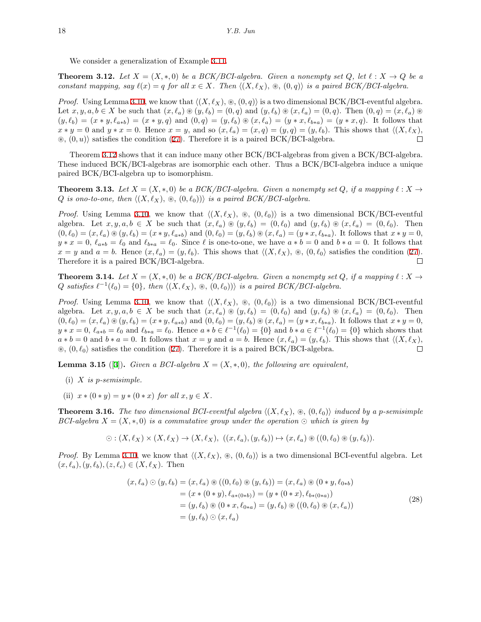We consider a generalization of Example [3.11](#page-8-3).

<span id="page-9-0"></span>**Theorem 3.12.** Let  $X = (X, *, 0)$  be a BCK/BCI-algebra. Given a nonempty set  $Q$ , let  $\ell : X \to Q$  be a *constant mapping, say*  $\ell(x) = q$  *for all*  $x \in X$ *. Then*  $\langle (X, \ell_X), \otimes, (0, q) \rangle$  *is a paired BCK/BCI-algebra.* 

*Proof.* Using Lemma [3.10](#page-8-2), we know that  $\langle (X, \ell_X), \otimes, (0, q) \rangle$  is a two dimensional BCK/BCI-eventful algebra. Let  $x, y, a, b \in X$  be such that  $(x, \ell_a) \circledast (y, \ell_b) = (0, q)$  and  $(y, \ell_b) \circledast (x, \ell_a) = (0, q)$ . Then  $(0, q) = (x, \ell_a) \circledast$  $(y,\ell_b) = (x * y, \ell_{a*b}) = (x * y, q)$  and  $(0,q) = (y,\ell_b) \circledast (x,\ell_a) = (y * x, \ell_{b*a}) = (y * x, q)$ . It follows that  $x * y = 0$  and  $y * x = 0$ . Hence  $x = y$ , and so  $(x, \ell_a) = (x, q) = (y, q) = (y, \ell_b)$ . This shows that  $\langle (X, \ell_X),$ ⊛*,* (0*, u*)*⟩* satisfies the condition ([27](#page-7-5)). Therefore it is a paired BCK/BCI-algebra.  $\Box$ 

Theorem [3.12](#page-9-0) shows that it can induce many other BCK/BCI-algebras from given a BCK/BCI-algebra. These induced BCK/BCI-algebras are isomorphic each other. Thus a BCK/BCI-algebra induce a unique paired BCK/BCI-algebra up to isomorphism.

**Theorem 3.13.** Let  $X = (X, *, 0)$  be a BCK/BCI-algebra. Given a nonempty set Q, if a mapping  $\ell : X \to Y$ *Q is ono-to-one, then*  $\langle (X, \ell_X), \otimes, (0, \ell_0) \rangle$  *is a paired BCK/BCI-algebra.* 

*Proof.* Using Lemma [3.10](#page-8-2), we know that  $\langle (X, \ell_X), \otimes, (0, \ell_0) \rangle$  is a two dimensional BCK/BCI-eventful algebra. Let  $x, y, a, b \in X$  be such that  $(x, \ell_a) \otimes (y, \ell_b) = (0, \ell_0)$  and  $(y, \ell_b) \otimes (x, \ell_a) = (0, \ell_0)$ . Then  $(0, \ell_0) = (x, \ell_a) \circledast (y, \ell_b) = (x * y, \ell_{a * b})$  and  $(0, \ell_0) = (y, \ell_b) \circledast (x, \ell_a) = (y * x, \ell_{b * a})$ . It follows that  $x * y = 0$ ,  $y * x = 0$ ,  $\ell_{a * b} = \ell_0$  and  $\ell_{b * a} = \ell_0$ . Since  $\ell$  is one-to-one, we have  $a * b = 0$  and  $b * a = 0$ . It follows that  $x = y$  and  $a = b$ . Hence  $(x, \ell_a) = (y, \ell_b)$ . This shows that  $\langle (X, \ell_X), \otimes, (0, \ell_0) \rangle$  satisfies the condition ([27\)](#page-7-5). Therefore it is a paired BCK/BCI-algebra.  $\Box$ 

**Theorem 3.14.** Let  $X = (X, *, 0)$  be a BCK/BCI-algebra. Given a nonempty set Q, if a mapping  $\ell : X \to Y$  $Q$  *satisfies*  $\ell^{-1}(\ell_0) = \{0\}$ *, then*  $\langle (X, \ell_X), \otimes, (0, \ell_0) \rangle$  *is a paired BCK/BCI-algebra.* 

*Proof.* Using Lemma [3.10](#page-8-2), we know that  $\langle (X, \ell_X), \otimes, (0, \ell_0) \rangle$  is a two dimensional BCK/BCI-eventful algebra. Let  $x, y, a, b \in X$  be such that  $(x, \ell_a) \circledast (y, \ell_b) = (0, \ell_0)$  and  $(y, \ell_b) \circledast (x, \ell_a) = (0, \ell_0)$ . Then  $(0, \ell_0) = (x, \ell_a) \circledast (y, \ell_b) = (x * y, \ell_{a * b})$  and  $(0, \ell_0) = (y, \ell_b) \circledast (x, \ell_a) = (y * x, \ell_{b * a})$ . It follows that  $x * y = 0$ ,  $y * x = 0$ ,  $\ell_{a*b} = \ell_0$  and  $\ell_{b*a} = \ell_0$ . Hence  $a * b \in \ell^{-1}(\ell_0) = \{0\}$  and  $b * a \in \ell^{-1}(\ell_0) = \{0\}$  which shows that  $a * b = 0$  and  $b * a = 0$ . It follows that  $x = y$  and  $a = b$ . Hence  $(x, \ell_a) = (y, \ell_b)$ . This shows that  $\langle (X, \ell_X),$  $\Box$ ⊛*,* (0*, ℓ*0*⟩* satisfies the condition ([27](#page-7-5)). Therefore it is a paired BCK/BCI-algebra.

<span id="page-9-1"></span>**Lemma 3.15** ([\[3](#page-11-5)]). *Given a BCI-algebra*  $X = (X, *, 0)$ *, the following are equivalent,* 

- (i) *X is p-semisimple.*
- (ii)  $x * (0 * y) = y * (0 * x)$  *for all*  $x, y \in X$ .

**Theorem 3.16.** The two dimensional BCI-eventful algebra  $\langle (X, \ell_X), \otimes, (0, \ell_0) \rangle$  induced by a p-semisimple *BCI-algebra*  $X = (X, \ast, 0)$  *is a commutative group under the operation*  $\odot$  *which is given by* 

$$
\odot : (X,\ell_X) \times (X,\ell_X) \to (X,\ell_X), ((x,\ell_a),(y,\ell_b)) \mapsto (x,\ell_a) \circledast ((0,\ell_0) \circledast (y,\ell_b)).
$$

*Proof.* By Lemma [3.10](#page-8-2), we know that  $\langle (X, \ell_X), \otimes, (0, \ell_0) \rangle$  is a two dimensional BCI-eventful algebra. Let  $(x, \ell_a), (y, \ell_b), (z, \ell_c) \in (X, \ell_X)$ . Then

<span id="page-9-2"></span>
$$
(x, \ell_a) \odot (y, \ell_b) = (x, \ell_a) \circledast ((0, \ell_0) \circledast (y, \ell_b)) = (x, \ell_a) \circledast (0 * y, \ell_{0 * b})
$$
  
\n
$$
= (x * (0 * y), \ell_{a * (0 * b)}) = (y * (0 * x), \ell_{b * (0 * a)})
$$
  
\n
$$
= (y, \ell_b) \circledast (0 * x, \ell_{0 * a}) = (y, \ell_b) \circledast ((0, \ell_0) \circledast (x, \ell_a))
$$
  
\n
$$
= (y, \ell_b) \odot (x, \ell_a)
$$
\n(28)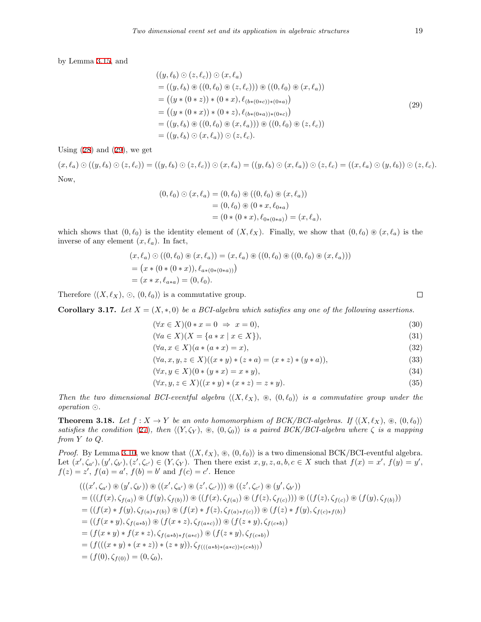by Lemma [3.15,](#page-9-1) and

<span id="page-10-0"></span>
$$
((y, \ell_b) \odot (z, \ell_c)) \odot (x, \ell_a)
$$
  
= ((y, \ell\_b) \circledast ((0, \ell\_0) \circledast (z, \ell\_c))) \circledast ((0, \ell\_0) \circledast (x, \ell\_a))  
= ((y \* (0 \* z)) \* (0 \* x), \ell\_{(b \* (0 \* c)) \* (0 \* a)})  
= ((y \* (0 \* x)) \* (0 \* z), \ell\_{(b \* (0 \* a)) \* (0 \* c)})  
= ((y, \ell\_b) \circledast ((0, \ell\_0) \circledast (x, \ell\_a))) \circledast ((0, \ell\_0) \circledast (z, \ell\_c))  
= ((y, \ell\_b) \circledast (x, \ell\_a)) \circ (z, \ell\_c).\n(29)

Using  $(28)$  $(28)$  and  $(29)$  $(29)$ , we get

 $(x,\ell_a)\odot((y,\ell_b)\odot(z,\ell_c))=((y,\ell_b)\odot(z,\ell_c))\odot(x,\ell_a)=((y,\ell_b)\odot(x,\ell_a))\odot(z,\ell_c)=((x,\ell_a)\odot(y,\ell_b))\odot(z,\ell_c).$ Now,

$$
(0, \ell_0) \odot (x, \ell_a) = (0, \ell_0) \circledast ((0, \ell_0) \circledast (x, \ell_a))
$$
  
= (0, \ell\_0) \circledast (0 \* x, \ell\_{0 \* a})  
= (0 \* (0 \* x), \ell\_{0 \* (0 \* a)}) = (x, \ell\_a),

which shows that  $(0, \ell_0)$  is the identity element of  $(X, \ell_X)$ . Finally, we show that  $(0, \ell_0) \otimes (x, \ell_a)$  is the inverse of any element  $(x, \ell_a)$ . In fact,

$$
(x, \ell_a) \odot ((0, \ell_0) \circledast (x, \ell_a)) = (x, \ell_a) \circledast ((0, \ell_0) \circledast ((0, \ell_0) \circledast (x, \ell_a)))
$$
  
= 
$$
(x * (0 * (0 * x)), \ell_{a * (0 * (0 * a))})
$$
  
= 
$$
(x * x, \ell_{a * a}) = (0, \ell_0).
$$

Therefore  $\langle (X, \ell_X), \odot, (0, \ell_0) \rangle$  is a commutative group.

**Corollary 3.17.** *Let*  $X = (X, * , 0)$  *be a BCI-algebra which satisfies any one of the following assertions.* 

$$
(\forall x \in X)(0 \ast x = 0 \Rightarrow x = 0), \tag{30}
$$

$$
(\forall a \in X)(X = \{a * x \mid x \in X\}),
$$
\n
$$
(\forall a \in X)(x : (a * x) \in X)
$$
\n
$$
(31)
$$
\n
$$
(32)
$$

$$
(\forall a, x \in X)(a * (a * x) = x),\tag{32}
$$

$$
(\forall a, x, y, z \in X)((x * y) * (z * a) = (x * z) * (y * a)),
$$
\n(33)

$$
(\forall x, y \in X)(0 \ast (y \ast x) = x \ast y),\tag{34}
$$

$$
(\forall x, y, z \in X)((x * y) * (x * z) = z * y). \tag{35}
$$

*Then the two dimensional BCI-eventful algebra*  $\langle (X, \ell_X), \otimes, (0, \ell_0) \rangle$  *is a commutative group under the operation ⊙.*

**Theorem 3.18.** Let  $f: X \to Y$  be an onto homomorphism of BCK/BCI-algebras. If  $\langle (X, \ell_X), \otimes, (0, \ell_0) \rangle$ *satisfies the condition* [\(27](#page-7-5))*, then*  $\langle (Y, \zeta_Y), \otimes, (0, \zeta_0) \rangle$  *is a paired BCK/BCI-algebra where*  $\zeta$  *is a mapping from Y to Q.*

*Proof.* By Lemma [3.10](#page-8-2), we know that  $\langle (X, \ell_X), \otimes, (0, \ell_0) \rangle$  is a two dimensional BCK/BCI-eventful algebra. Let  $(x', \zeta_{a'}), (y', \zeta_{b'}), (z', \zeta_{c'}) \in (Y, \zeta_Y)$ . Then there exist  $x, y, z, a, b, c \in X$  such that  $f(x) = x', f(y) = y',$  $f(z) = z'$ ,  $f(a) = a'$ ,  $f(b) = b'$  and  $f(c) = c'$ . Hence

$$
(((x', \zeta_{a'}) \circledast (y', \zeta_{b'})) \circledast ((x', \zeta_{a'}) \circledast (z', \zeta_{c'}))) \circledast ((z', \zeta_{c'}) \circledast (y', \zeta_{b'}))
$$
  
\n
$$
= (((f(x), \zeta_{f(a)}) \circledast (f(y), \zeta_{f(b)})) \circledast ((f(x), \zeta_{f(a)}) \circledast (f(z), \zeta_{f(c)}))) \circledast ((f(z), \zeta_{f(c)}) \circledast (f(y), \zeta_{f(b)}))
$$
  
\n
$$
= ((f(x) * f(y), \zeta_{f(a)*f(b)}) \circledast (f(x) * f(z), \zeta_{f(a)*f(c)})) \circledast (f(z) * f(y), \zeta_{f(c)*f(b)})
$$
  
\n
$$
= ((f(x * y), \zeta_{f(a*b)}) \circledast (f(x * z), \zeta_{f(a*c)}) \circledast (f(z * y), \zeta_{f(c*b)})
$$
  
\n
$$
= (f(x * y) * f(x * z), \zeta_{f(a*b)*f(a*c)}) \circledast (f(z * y), \zeta_{f(c*b)})
$$
  
\n
$$
= (f(((x * y) * (x * z)) * (z * y)), \zeta_{f(((a*b)*(a*c))*(c*b)})) )
$$
  
\n
$$
= (f(0), \zeta_{f(0)}) = (0, \zeta_0),
$$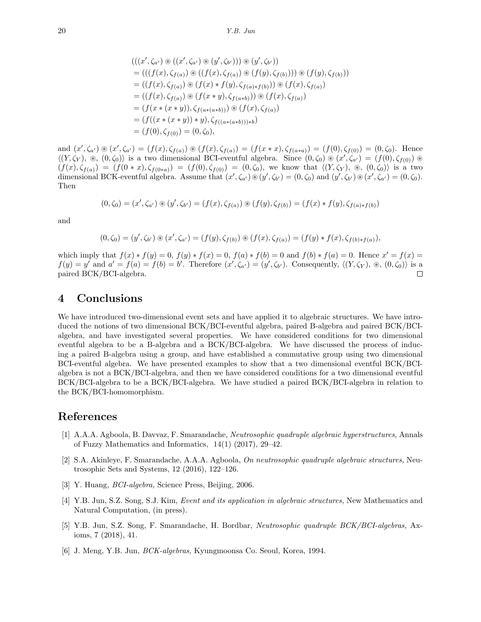$$
(((x', \zeta_{a'}) \circledast ((x', \zeta_{a'}) \circledast (y', \zeta_{b'}))) \circledast (y', \zeta_{b'}))
$$
  
= 
$$
(((f(x), \zeta_{f(a)}) \circledast ((f(x), \zeta_{f(a)}) \circledast (f(y), \zeta_{f(b)}))) \circledast (f(y), \zeta_{f(b)}))
$$
  
= 
$$
((f(x), \zeta_{f(a)}) \circledast (f(x) * f(y), \zeta_{f(a)*f(b)})) \circledast (f(x), \zeta_{f(a)})
$$
  
= 
$$
((f(x), \zeta_{f(a)}) \circledast (f(x * y), \zeta_{f(a*b)})) \circledast (f(x), \zeta_{f(a)})
$$
  
= 
$$
(f(x * (x * y)), \zeta_{f(a*(a*b))) \circledast (f(x), \zeta_{f(a)})
$$
  
= 
$$
(f((x * (x * y)) * y), \zeta_{f((a*(a*b))) * b})
$$
  
= 
$$
(f(0), \zeta_{f(0)}) = (0, \zeta_{0}),
$$

and  $(x', \zeta_{a'}) \circledast (x', \zeta_{a'}) = (f(x), \zeta_{f(a)}) \circledast (f(x), \zeta_{f(a)}) = (f(x * x), \zeta_{f(a * a)}) = (f(0), \zeta_{f(0)}) = (0, \zeta_0).$  Hence  $\langle (Y, \zeta_Y), \otimes, (0, \zeta_0) \rangle$  is a two dimensional BCI-eventful algebra. Since  $(0, \zeta_0) \otimes (x', \zeta_{a'}) = (f(0), \zeta_{f(0)}) \otimes$  $(f(x), \zeta_{f(a)}) = (f(0*x), \zeta_{f(0*a)}) = (f(0), \zeta_{f(0)}) = (0, \zeta_0)$ , we know that  $\langle (Y, \zeta_Y), \otimes, (0, \zeta_0) \rangle$  is a two dimensional BCK-eventful algebra. Assume that  $(x', \zeta_{a'}) \otimes (y', \zeta_{b'}) = (0, \zeta_0)$  and  $(y', \zeta_{b'}) \otimes (x', \zeta_{a'}) = (0, \zeta_0)$ . Then

$$
(0, \zeta_0) = (x', \zeta_{a'}) \circledast (y', \zeta_{b'}) = (f(x), \zeta_{f(a)}) \circledast (f(y), \zeta_{f(b)}) = (f(x) * f(y), \zeta_{f(a) * f(b)})
$$

and

$$
(0,\zeta_0)=(y',\zeta_{b'})\circledast(x',\zeta_{a'})=(f(y),\zeta_{f(b)})\circledast(f(x),\zeta_{f(a)})=(f(y)*f(x),\zeta_{f(b)*f(a)}),
$$

which imply that  $f(x) * f(y) = 0$ ,  $f(y) * f(x) = 0$ ,  $f(a) * f(b) = 0$  and  $f(b) * f(a) = 0$ . Hence  $x' = f(x) = 0$  $f(y) = y'$  and  $a' = f(a) = f(b) = b'$ . Therefore  $(x', \zeta_{a'}) = (y', \zeta_{b'})$ . Consequently,  $\langle (Y, \zeta_Y), \otimes, (0, \zeta_0) \rangle$  is a paired BCK/BCI-algebra.  $\Box$ 

### **4 Conclusions**

We have introduced two-dimensional event sets and have applied it to algebraic structures. We have introduced the notions of two dimensional BCK/BCI-eventful algebra, paired B-algebra and paired BCK/BCIalgebra, and have investigated several properties. We have considered conditions for two dimensional eventful algebra to be a B-algebra and a BCK/BCI-algebra. We have discussed the process of inducing a paired B-algebra using a group, and have established a commutative group using two dimensional BCI-eventful algebra. We have presented examples to show that a two dimensional eventful BCK/BCIalgebra is not a BCK/BCI-algebra, and then we have considered conditions for a two dimensional eventful BCK/BCI-algebra to be a BCK/BCI-algebra. We have studied a paired BCK/BCI-algebra in relation to the BCK/BCI-homomorphism.

# **References**

- <span id="page-11-0"></span>[1] A.A.A. Agboola, B. Davvaz, F. Smarandache, *Neutrosophic quadruple algebraic hyperstructures,* Annals of Fuzzy Mathematics and Informatics, 14(1) (2017), 29–42.
- <span id="page-11-1"></span>[2] S.A. Akinleye, F. Smarandache, A.A.A. Agboola, *On neutrosophic quadruple algebraic structures,* Neutrosophic Sets and Systems, 12 (2016), 122–126.
- <span id="page-11-5"></span>[3] Y. Huang, *BCI-algebra,* Science Press, Beijing, 2006.
- <span id="page-11-3"></span>[4] Y.B. Jun, S.Z. Song, S.J. Kim, *Event and its application in algebraic structures,* New Mathematics and Natural Computation, (in press).
- <span id="page-11-2"></span>[5] Y.B. Jun, S.Z. Song, F. Smarandache, H. Bordbar, *Neutrosophic quadruple BCK/BCI-algebras,* Axioms, 7 (2018), 41.
- <span id="page-11-4"></span>[6] J. Meng, Y.B. Jun, *BCK-algebras,* Kyungmoonsa Co. Seoul, Korea, 1994.